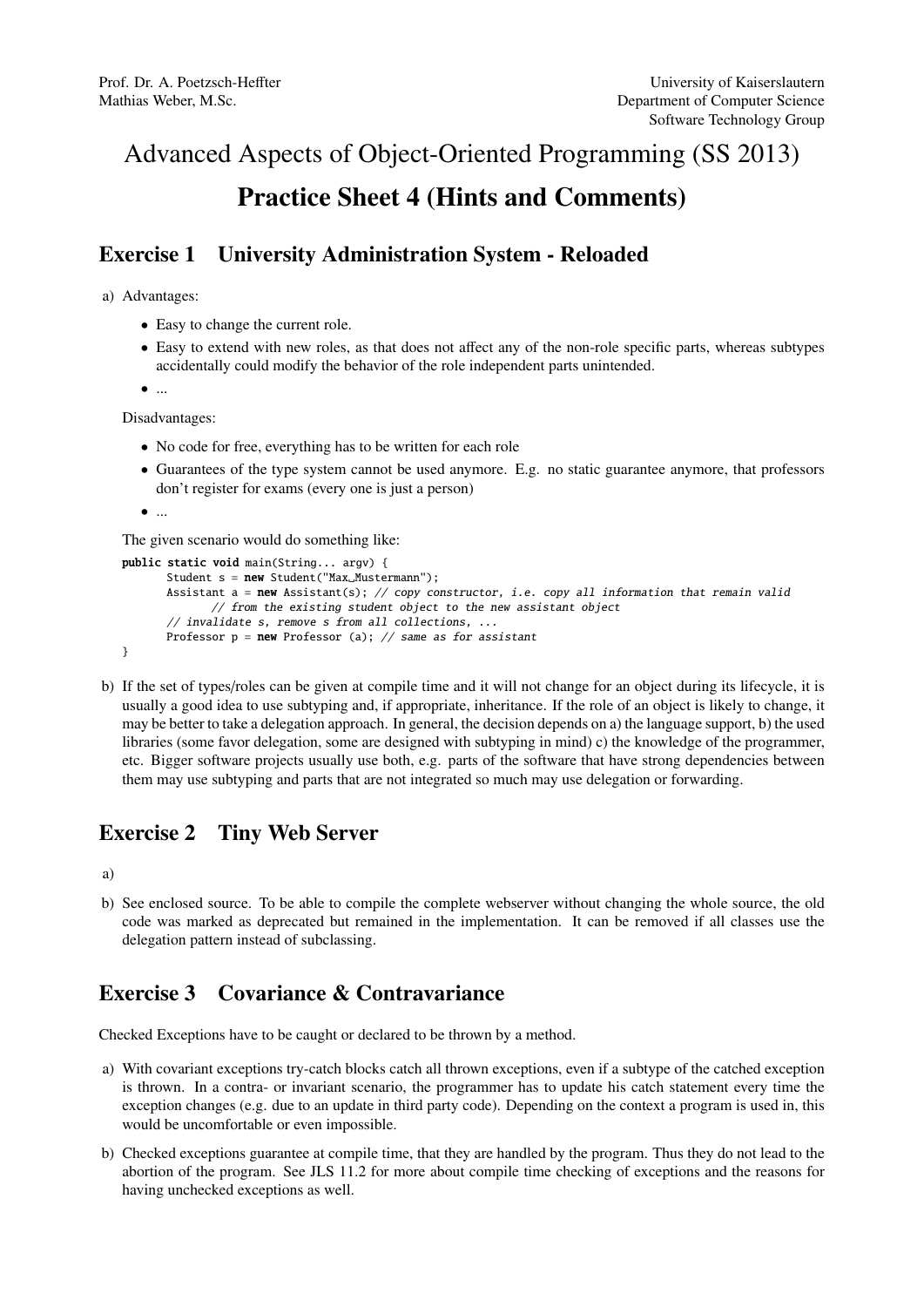# Advanced Aspects of Object-Oriented Programming (SS 2013) Practice Sheet 4 (Hints and Comments)

## Exercise 1 University Administration System - Reloaded

a) Advantages:

- Easy to change the current role.
- Easy to extend with new roles, as that does not affect any of the non-role specific parts, whereas subtypes accidentally could modify the behavior of the role independent parts unintended.

 $\bullet$  ...

Disadvantages:

- No code for free, everything has to be written for each role
- Guarantees of the type system cannot be used anymore. E.g. no static guarantee anymore, that professors don't register for exams (every one is just a person)

```
\bullet ...
```
The given scenario would do something like:

```
public static void main(String... argv) {
      Student s = new Student("Max_Musterman");Assistant a = new Assistant(s); // copy constructor, i.e. copy all information that remain valid
             // from the existing student object to the new assistant object
      // invalidate s, remove s from all collections, ...
      Professor p = new Professor(a); // same as for assistant}
```
b) If the set of types/roles can be given at compile time and it will not change for an object during its lifecycle, it is usually a good idea to use subtyping and, if appropriate, inheritance. If the role of an object is likely to change, it may be better to take a delegation approach. In general, the decision depends on a) the language support, b) the used libraries (some favor delegation, some are designed with subtyping in mind) c) the knowledge of the programmer, etc. Bigger software projects usually use both, e.g. parts of the software that have strong dependencies between them may use subtyping and parts that are not integrated so much may use delegation or forwarding.

### Exercise 2 Tiny Web Server

a)

b) See enclosed source. To be able to compile the complete webserver without changing the whole source, the old code was marked as deprecated but remained in the implementation. It can be removed if all classes use the delegation pattern instead of subclassing.

## Exercise 3 Covariance & Contravariance

Checked Exceptions have to be caught or declared to be thrown by a method.

- a) With covariant exceptions try-catch blocks catch all thrown exceptions, even if a subtype of the catched exception is thrown. In a contra- or invariant scenario, the programmer has to update his catch statement every time the exception changes (e.g. due to an update in third party code). Depending on the context a program is used in, this would be uncomfortable or even impossible.
- b) Checked exceptions guarantee at compile time, that they are handled by the program. Thus they do not lead to the abortion of the program. See JLS 11.2 for more about compile time checking of exceptions and the reasons for having unchecked exceptions as well.